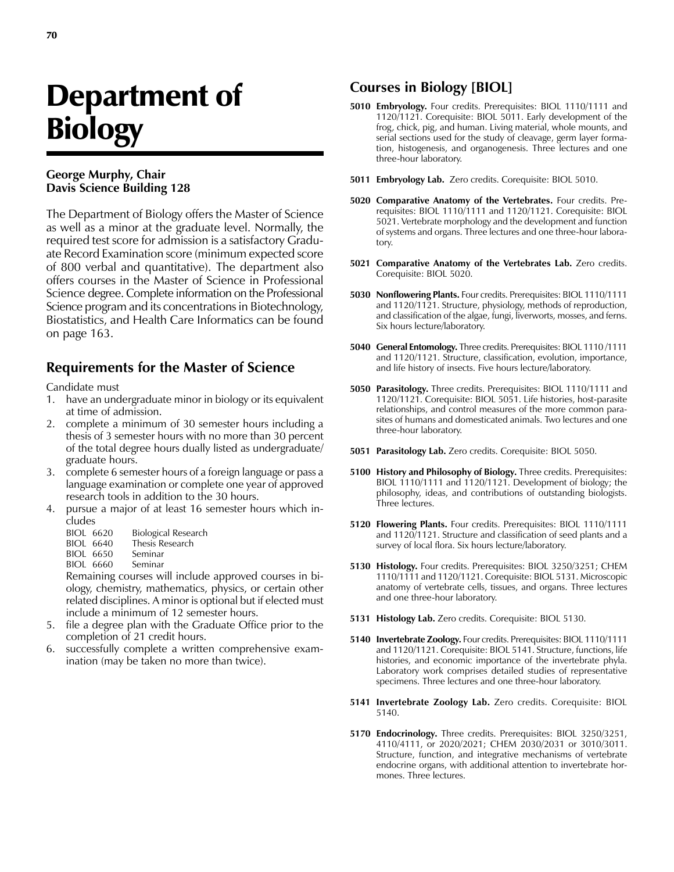# Department of **Biology**

#### **George Murphy, Chair Davis Science Building 128**

The Department of Biology offers the Master of Science as well as a minor at the graduate level. Normally, the required test score for admission is a satisfactory Graduate Record Examination score (minimum expected score of 800 verbal and quantitative). The department also offers courses in the Master of Science in Professional Science degree. Complete information on the Professional Science program and its concentrations in Biotechnology, Biostatistics, and Health Care Informatics can be found on page 163.

### **Requirements for the Master of Science**

Candidate must

- 1. have an undergraduate minor in biology or its equivalent at time of admission.
- 2. complete a minimum of 30 semester hours including a thesis of 3 semester hours with no more than 30 percent of the total degree hours dually listed as undergraduate/ graduate hours.
- 3. complete 6 semester hours of a foreign language or pass a language examination or complete one year of approved research tools in addition to the 30 hours.
- 4. pursue a major of at least 16 semester hours which includes
	- BIOL 6620 Biological Research<br>BIOL 6640 Thesis Research
	- Thesis Research
	- BIOL 6650 Seminar
	- BIOL 6660 Seminar

Remaining courses will include approved courses in biology, chemistry, mathematics, physics, or certain other related disciplines. A minor is optional but if elected must include a minimum of 12 semester hours.

- 5. file a degree plan with the Graduate Office prior to the completion of 21 credit hours.
- 6. successfully complete a written comprehensive examination (may be taken no more than twice).

#### **Courses in Biology [BIOL]**

- **5010 Embryology.** Four credits. Prerequisites: BIOL 1110/1111 and 1120/1121. Corequisite: BIOL 5011. Early development of the frog, chick, pig, and human. Living material, whole mounts, and serial sections used for the study of cleavage, germ layer formation, histogenesis, and organogenesis. Three lectures and one three-hour laboratory.
- **5011 Embryology Lab.** Zero credits. Corequisite: BIOL 5010.
- **5020 Comparative Anatomy of the Vertebrates.** Four credits. Prerequisites: BIOL 1110/1111 and 1120/1121. Corequisite: BIOL 5021. Vertebrate morphology and the development and function of systems and organs. Three lectures and one three-hour laboratory.
- **5021 Comparative Anatomy of the Vertebrates Lab.** Zero credits. Corequisite: BIOL 5020.
- **5030 Nonflowering Plants.** Four credits. Prerequisites: BIOL 1110/1111 and 1120/1121. Structure, physiology, methods of reproduction, and classification of the algae, fungi, liverworts, mosses, and ferns. Six hours lecture/laboratory.
- **5040 General Entomology.** Three credits. Prerequisites: BIOL 1110 /1111 and 1120/1121. Structure, classification, evolution, importance, and life history of insects. Five hours lecture/laboratory.
- **5050 Parasitology.** Three credits. Prerequisites: BIOL 1110/1111 and 1120/1121. Corequisite: BIOL 5051. Life histories, host-parasite relationships, and control measures of the more common parasites of humans and domesticated animals. Two lectures and one three-hour laboratory.
- **5051 Parasitology Lab.** Zero credits. Corequisite: BIOL 5050.
- **5100 History and Philosophy of Biology.** Three credits. Prerequisites: BIOL 1110/1111 and 1120/1121. Development of biology; the philosophy, ideas, and contributions of outstanding biologists. Three lectures.
- **5120 Flowering Plants.** Four credits. Prerequisites: BIOL 1110/1111 and 1120/1121. Structure and classification of seed plants and a survey of local flora. Six hours lecture/laboratory.
- **5130 Histology.** Four credits. Prerequisites: BIOL 3250/3251; CHEM 1110/1111 and 1120/1121. Corequisite: BIOL 5131. Microscopic anatomy of vertebrate cells, tissues, and organs. Three lectures and one three-hour laboratory.
- **5131 Histology Lab.** Zero credits. Corequisite: BIOL 5130.
- **5140 Invertebrate Zoology.** Four credits. Prerequisites: BIOL 1110/1111 and 1120/1121. Corequisite: BIOL 5141. Structure, functions, life histories, and economic importance of the invertebrate phyla. Laboratory work comprises detailed studies of representative specimens. Three lectures and one three-hour laboratory.
- **5141 Invertebrate Zoology Lab.** Zero credits. Corequisite: BIOL 5140.
- **5170 Endocrinology.** Three credits. Prerequisites: BIOL 3250/3251, 4110/4111, or 2020/2021; CHEM 2030/2031 or 3010/3011. Structure, function, and integrative mechanisms of vertebrate endocrine organs, with additional attention to invertebrate hormones. Three lectures.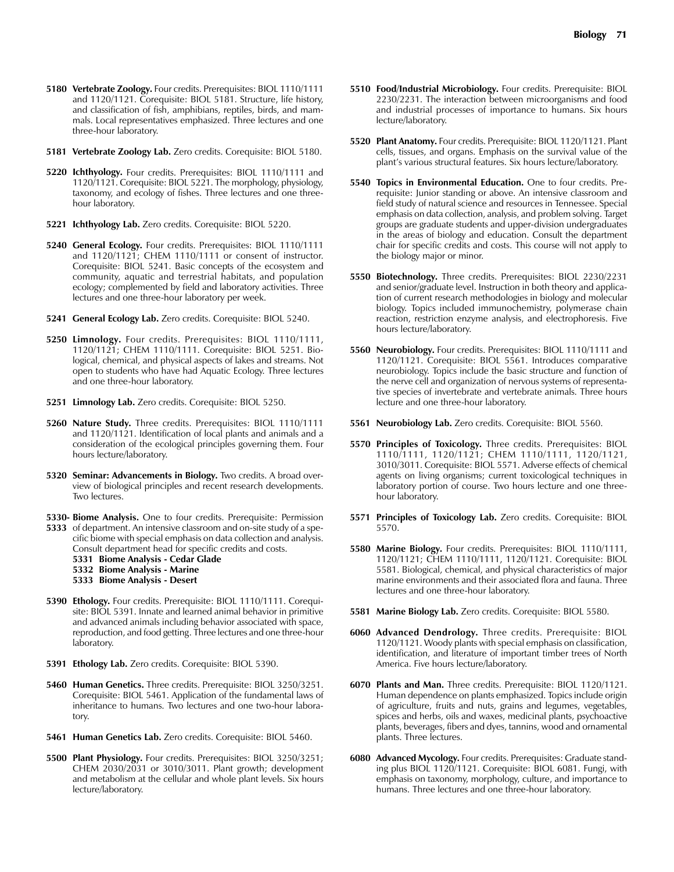- **5180 Vertebrate Zoology.** Four credits. Prerequisites: BIOL 1110/1111 and 1120/1121. Corequisite: BIOL 5181. Structure, life history, and classification of fish, amphibians, reptiles, birds, and mammals. Local representatives emphasized. Three lectures and one three-hour laboratory.
- **5181 Vertebrate Zoology Lab.** Zero credits. Corequisite: BIOL 5180.
- **5220 Ichthyology.** Four credits. Prerequisites: BIOL 1110/1111 and 1120/1121. Corequisite: BIOL 5221. The morphology, physiology, taxonomy, and ecology of fishes. Three lectures and one threehour laboratory.
- **5221 Ichthyology Lab.** Zero credits. Corequisite: BIOL 5220.
- **5240 General Ecology.** Four credits. Prerequisites: BIOL 1110/1111 and 1120/1121; CHEM 1110/1111 or consent of instructor. Corequisite: BIOL 5241. Basic concepts of the ecosystem and community, aquatic and terrestrial habitats, and population ecology; complemented by field and laboratory activities. Three lectures and one three-hour laboratory per week.
- **5241 General Ecology Lab.** Zero credits. Corequisite: BIOL 5240.
- **5250 Limnology.** Four credits. Prerequisites: BIOL 1110/1111, 1120/1121; CHEM 1110/1111. Corequisite: BIOL 5251. Biological, chemical, and physical aspects of lakes and streams. Not open to students who have had Aquatic Ecology. Three lectures and one three-hour laboratory.
- **5251 Limnology Lab.** Zero credits. Corequisite: BIOL 5250.
- **5260 Nature Study.** Three credits. Prerequisites: BIOL 1110/1111 and 1120/1121. Identification of local plants and animals and a consideration of the ecological principles governing them. Four hours lecture/laboratory.
- **5320 Seminar: Advancements in Biology.** Two credits. A broad overview of biological principles and recent research developments. Two lectures.
- **5330- Biome Analysis.** One to four credits. Prerequisite: Permission
- **5333** of department. An intensive classroom and on-site study of a specific biome with special emphasis on data collection and analysis. Consult department head for specific credits and costs.
	- **5331 Biome Analysis Cedar Glade**
	- **5332 Biome Analysis Marine**
	- **5333 Biome Analysis Desert**
- **5390 Ethology.** Four credits. Prerequisite: BIOL 1110/1111. Corequisite: BIOL 5391. Innate and learned animal behavior in primitive and advanced animals including behavior associated with space, reproduction, and food getting. Three lectures and one three-hour laboratory.
- **5391 Ethology Lab.** Zero credits. Corequisite: BIOL 5390.
- **5460 Human Genetics.** Three credits. Prerequisite: BIOL 3250/3251. Corequisite: BIOL 5461. Application of the fundamental laws of inheritance to humans. Two lectures and one two-hour laboratory.
- **5461 Human Genetics Lab.** Zero credits. Corequisite: BIOL 5460.
- **5500 Plant Physiology.** Four credits. Prerequisites: BIOL 3250/3251; CHEM 2030/2031 or 3010/3011. Plant growth; development and metabolism at the cellular and whole plant levels. Six hours lecture/laboratory.
- **5510 Food/Industrial Microbiology.** Four credits. Prerequisite: BIOL 2230/2231. The interaction between microorganisms and food and industrial processes of importance to humans. Six hours lecture/laboratory.
- **5520 Plant Anatomy.** Four credits. Prerequisite: BIOL 1120/1121. Plant cells, tissues, and organs. Emphasis on the survival value of the plant's various structural features. Six hours lecture/laboratory.
- **5540 Topics in Environmental Education.** One to four credits. Prerequisite: Junior standing or above. An intensive classroom and field study of natural science and resources in Tennessee. Special emphasis on data collection, analysis, and problem solving. Target groups are graduate students and upper-division undergraduates in the areas of biology and education. Consult the department chair for specific credits and costs. This course will not apply to the biology major or minor.
- **5550 Biotechnology.** Three credits. Prerequisites: BIOL 2230/2231 and senior/graduate level. Instruction in both theory and application of current research methodologies in biology and molecular biology. Topics included immunochemistry, polymerase chain reaction, restriction enzyme analysis, and electrophoresis. Five hours lecture/laboratory.
- **5560 Neurobiology.** Four credits. Prerequisites: BIOL 1110/1111 and 1120/1121. Corequisite: BIOL 5561. Introduces comparative neurobiology. Topics include the basic structure and function of the nerve cell and organization of nervous systems of representative species of invertebrate and vertebrate animals. Three hours lecture and one three-hour laboratory.
- **5561 Neurobiology Lab.** Zero credits. Corequisite: BIOL 5560.
- **5570 Principles of Toxicology.** Three credits. Prerequisites: BIOL 1110/1111, 1120/1121; CHEM 1110/1111, 1120/1121, 3010/3011. Corequisite: BIOL 5571. Adverse effects of chemical agents on living organisms; current toxicological techniques in laboratory portion of course. Two hours lecture and one threehour laboratory.
- **5571 Principles of Toxicology Lab.** Zero credits. Corequisite: BIOL 5570.
- **5580 Marine Biology.** Four credits. Prerequisites: BIOL 1110/1111, 1120/1121; CHEM 1110/1111, 1120/1121. Corequisite: BIOL 5581. Biological, chemical, and physical characteristics of major marine environments and their associated flora and fauna. Three lectures and one three-hour laboratory.
- **5581 Marine Biology Lab.** Zero credits. Corequisite: BIOL 5580.
- **6060 Advanced Dendrology.** Three credits. Prerequisite: BIOL 1120/1121. Woody plants with special emphasis on classification, identification, and literature of important timber trees of North America. Five hours lecture/laboratory.
- **6070 Plants and Man.** Three credits. Prerequisite: BIOL 1120/1121. Human dependence on plants emphasized. Topics include origin of agriculture, fruits and nuts, grains and legumes, vegetables, spices and herbs, oils and waxes, medicinal plants, psychoactive plants, beverages, fibers and dyes, tannins, wood and ornamental plants. Three lectures.
- **6080 Advanced Mycology.** Four credits. Prerequisites: Graduate standing plus BIOL 1120/1121. Corequisite: BIOL 6081. Fungi, with emphasis on taxonomy, morphology, culture, and importance to humans. Three lectures and one three-hour laboratory.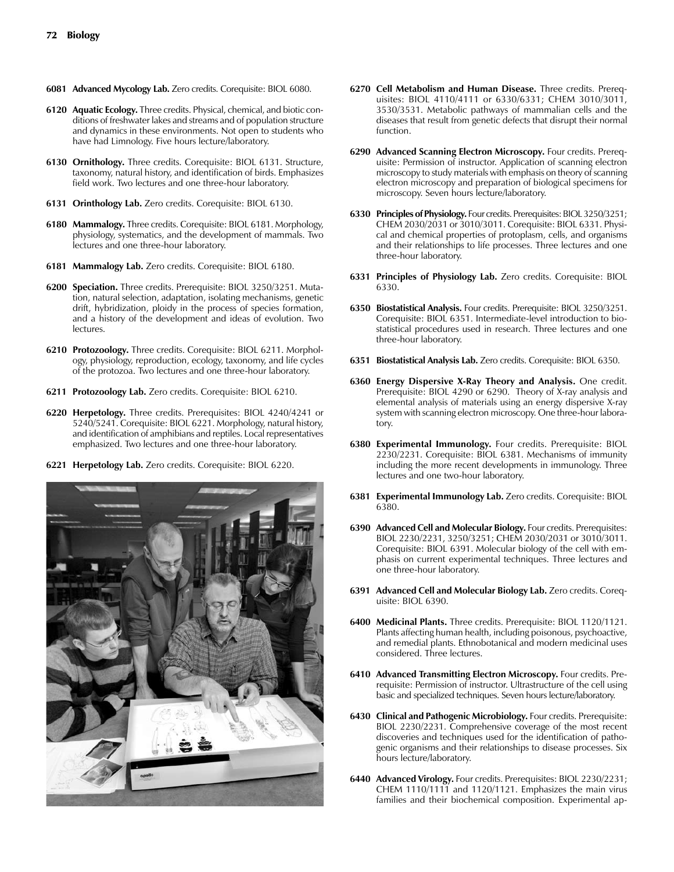- **6081 Advanced Mycology Lab.** Zero credits. Corequisite: BIOL 6080.
- **6120 Aquatic Ecology.** Three credits. Physical, chemical, and biotic conditions of freshwater lakes and streams and of population structure and dynamics in these environments. Not open to students who have had Limnology. Five hours lecture/laboratory.
- **6130 Ornithology.** Three credits. Corequisite: BIOL 6131. Structure, taxonomy, natural history, and identification of birds. Emphasizes field work. Two lectures and one three-hour laboratory.
- **6131 Orinthology Lab.** Zero credits. Corequisite: BIOL 6130.
- **6180 Mammalogy.** Three credits. Corequisite: BIOL 6181. Morphology, physiology, systematics, and the development of mammals. Two lectures and one three-hour laboratory.
- **6181 Mammalogy Lab.** Zero credits. Corequisite: BIOL 6180.
- **6200 Speciation.** Three credits. Prerequisite: BIOL 3250/3251. Mutation, natural selection, adaptation, isolating mechanisms, genetic drift, hybridization, ploidy in the process of species formation, and a history of the development and ideas of evolution. Two lectures.
- **6210 Protozoology.** Three credits. Corequisite: BIOL 6211. Morphology, physiology, reproduction, ecology, taxonomy, and life cycles of the protozoa. Two lectures and one three-hour laboratory.
- **6211 Protozoology Lab.** Zero credits. Corequisite: BIOL 6210.
- **6220 Herpetology.** Three credits. Prerequisites: BIOL 4240/4241 or 5240/5241. Corequisite: BIOL 6221. Morphology, natural history, and identification of amphibians and reptiles. Local representatives emphasized. Two lectures and one three-hour laboratory.
- **6221 Herpetology Lab.** Zero credits. Corequisite: BIOL 6220.



- **6270 Cell Metabolism and Human Disease.** Three credits. Prerequisites: BIOL 4110/4111 or 6330/6331; CHEM 3010/3011, 3530/3531. Metabolic pathways of mammalian cells and the diseases that result from genetic defects that disrupt their normal function.
- **6290 Advanced Scanning Electron Microscopy.** Four credits. Prerequisite: Permission of instructor. Application of scanning electron microscopy to study materials with emphasis on theory of scanning electron microscopy and preparation of biological specimens for microscopy. Seven hours lecture/laboratory.
- **6330 Principles of Physiology.** Four credits. Prerequisites: BIOL 3250/3251; CHEM 2030/2031 or 3010/3011. Corequisite: BIOL 6331. Physical and chemical properties of protoplasm, cells, and organisms and their relationships to life processes. Three lectures and one three-hour laboratory.
- **6331 Principles of Physiology Lab.** Zero credits. Corequisite: BIOL 6330.
- **6350 Biostatistical Analysis.** Four credits. Prerequisite: BIOL 3250/3251. Corequisite: BIOL 6351. Intermediate-level introduction to biostatistical procedures used in research. Three lectures and one three-hour laboratory.
- **6351 Biostatistical Analysis Lab.** Zero credits. Corequisite: BIOL 6350.
- **6360 Energy Dispersive X-Ray Theory and Analysis.** One credit. Prerequisite: BIOL 4290 or 6290. Theory of X-ray analysis and elemental analysis of materials using an energy dispersive X-ray system with scanning electron microscopy. One three-hour laboratory.
- **6380 Experimental Immunology.** Four credits. Prerequisite: BIOL 2230/2231. Corequisite: BIOL 6381. Mechanisms of immunity including the more recent developments in immunology. Three lectures and one two-hour laboratory.
- **6381 Experimental Immunology Lab.** Zero credits. Corequisite: BIOL 6380.
- **6390 Advanced Cell and Molecular Biology.** Four credits. Prerequisites: BIOL 2230/2231, 3250/3251; CHEM 2030/2031 or 3010/3011. Corequisite: BIOL 6391. Molecular biology of the cell with emphasis on current experimental techniques. Three lectures and one three-hour laboratory.
- **6391 Advanced Cell and Molecular Biology Lab.** Zero credits. Corequisite: BIOL 6390.
- **6400 Medicinal Plants.** Three credits. Prerequisite: BIOL 1120/1121. Plants affecting human health, including poisonous, psychoactive, and remedial plants. Ethnobotanical and modern medicinal uses considered. Three lectures.
- **6410 Advanced Transmitting Electron Microscopy.** Four credits. Prerequisite: Permission of instructor. Ultrastructure of the cell using basic and specialized techniques. Seven hours lecture/laboratory.
- **6430 Clinical and Pathogenic Microbiology.** Four credits. Prerequisite: BIOL 2230/2231. Comprehensive coverage of the most recent discoveries and techniques used for the identification of pathogenic organisms and their relationships to disease processes. Six hours lecture/laboratory.
- **6440 Advanced Virology.** Four credits. Prerequisites: BIOL 2230/2231; CHEM 1110/1111 and 1120/1121. Emphasizes the main virus families and their biochemical composition. Experimental ap